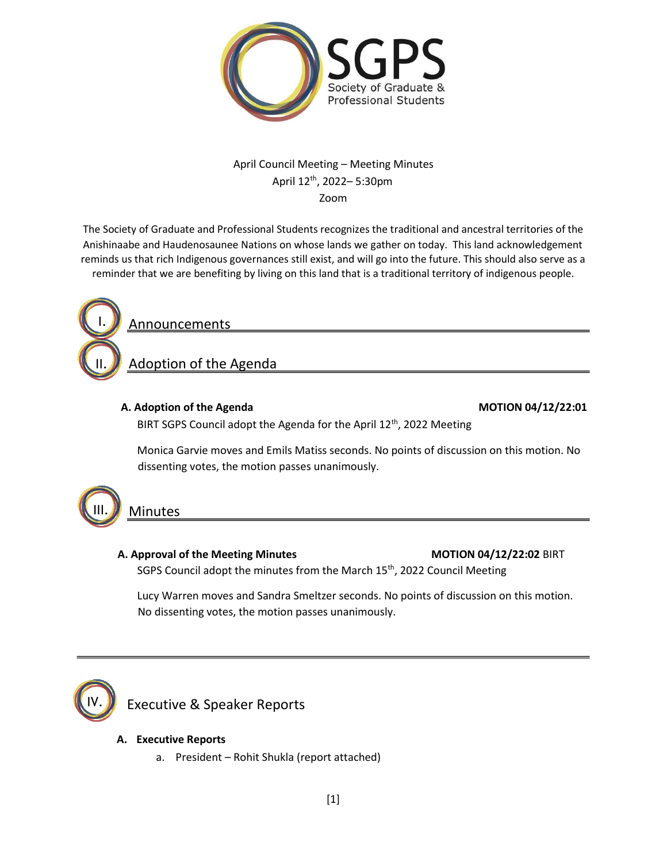

## April Council Meeting – Meeting Minutes April 12th, 2022– 5:30pm Zoom

The Society of Graduate and Professional Students recognizes the traditional and ancestral territories of the Anishinaabe and Haudenosaunee Nations on whose lands we gather on today. This land acknowledgement reminds us that rich Indigenous governances still exist, and will go into the future. This should also serve as a reminder that we are benefiting by living on this land that is a traditional territory of indigenous people.



Announcements

Adoption of the Agenda

## **A. Adoption of the Agenda MOTION 04/12/22:01**

BIRT SGPS Council adopt the Agenda for the April 12<sup>th</sup>, 2022 Meeting

Monica Garvie moves and Emils Matiss seconds. No points of discussion on this motion. No dissenting votes, the motion passes unanimously.

**Minutes** 

## **A.** Approval of the Meeting Minutes MOTION 04/12/22:02 BIRT

SGPS Council adopt the minutes from the March 15<sup>th</sup>, 2022 Council Meeting

Lucy Warren moves and Sandra Smeltzer seconds. No points of discussion on this motion. No dissenting votes, the motion passes unanimously.



Executive & Speaker Reports

## **A. Executive Reports**

a. President – Rohit Shukla (report attached)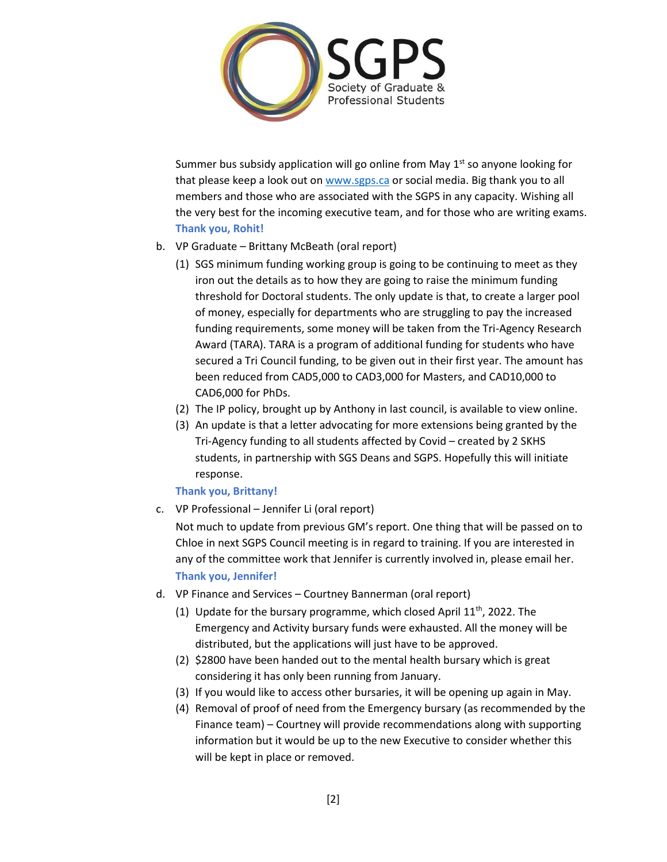

Summer bus subsidy application will go online from May  $1<sup>st</sup>$  so anyone looking for that please keep a look out on [www.sgps.ca](http://www.sgps.ca/) or social media. Big thank you to all members and those who are associated with the SGPS in any capacity. Wishing all the very best for the incoming executive team, and for those who are writing exams. **Thank you, Rohit!**

- b. VP Graduate Brittany McBeath (oral report)
	- (1) SGS minimum funding working group is going to be continuing to meet as they iron out the details as to how they are going to raise the minimum funding threshold for Doctoral students. The only update is that, to create a larger pool of money, especially for departments who are struggling to pay the increased funding requirements, some money will be taken from the Tri-Agency Research Award (TARA). TARA is a program of additional funding for students who have secured a Tri Council funding, to be given out in their first year. The amount has been reduced from CAD5,000 to CAD3,000 for Masters, and CAD10,000 to CAD6,000 for PhDs.
	- (2) The IP policy, brought up by Anthony in last council, is available to view online.
	- (3) An update is that a letter advocating for more extensions being granted by the Tri-Agency funding to all students affected by Covid – created by 2 SKHS students, in partnership with SGS Deans and SGPS. Hopefully this will initiate response.

## **Thank you, Brittany!**

c. VP Professional – Jennifer Li (oral report)

Not much to update from previous GM's report. One thing that will be passed on to Chloe in next SGPS Council meeting is in regard to training. If you are interested in any of the committee work that Jennifer is currently involved in, please email her. **Thank you, Jennifer!** 

- d. VP Finance and Services Courtney Bannerman (oral report)
	- (1) Update for the bursary programme, which closed April  $11<sup>th</sup>$ , 2022. The Emergency and Activity bursary funds were exhausted. All the money will be distributed, but the applications will just have to be approved.
	- (2) \$2800 have been handed out to the mental health bursary which is great considering it has only been running from January.
	- (3) If you would like to access other bursaries, it will be opening up again in May.
	- (4) Removal of proof of need from the Emergency bursary (as recommended by the Finance team) – Courtney will provide recommendations along with supporting information but it would be up to the new Executive to consider whether this will be kept in place or removed.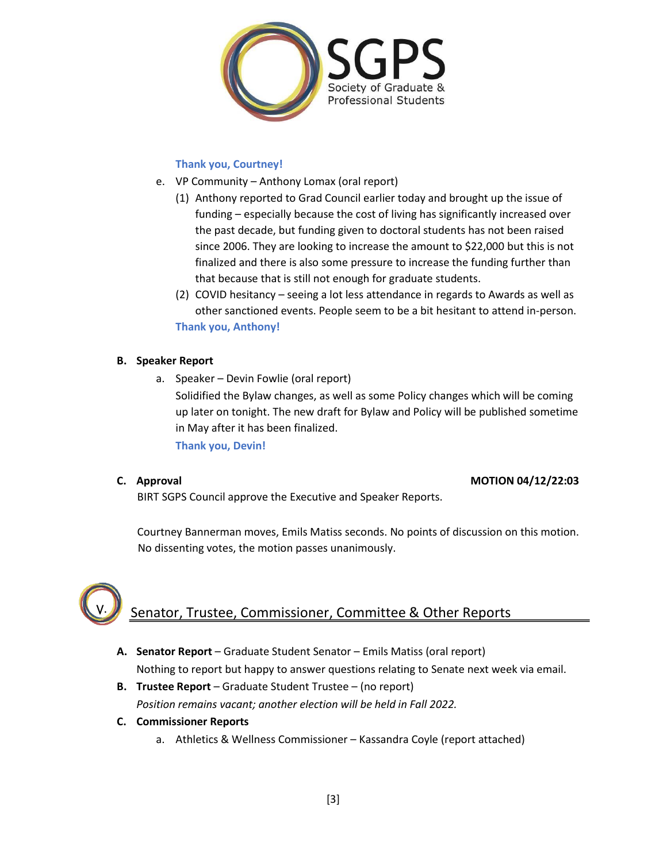

## **Thank you, Courtney!**

- e. VP Community Anthony Lomax (oral report)
	- (1) Anthony reported to Grad Council earlier today and brought up the issue of funding – especially because the cost of living has significantly increased over the past decade, but funding given to doctoral students has not been raised since 2006. They are looking to increase the amount to \$22,000 but this is not finalized and there is also some pressure to increase the funding further than that because that is still not enough for graduate students.
	- (2) COVID hesitancy seeing a lot less attendance in regards to Awards as well as other sanctioned events. People seem to be a bit hesitant to attend in-person. **Thank you, Anthony!**

## **B. Speaker Report**

a. Speaker – Devin Fowlie (oral report)

Solidified the Bylaw changes, as well as some Policy changes which will be coming up later on tonight. The new draft for Bylaw and Policy will be published sometime in May after it has been finalized.

**Thank you, Devin!**

## **C. Approval MOTION 04/12/22:03**

BIRT SGPS Council approve the Executive and Speaker Reports.

Courtney Bannerman moves, Emils Matiss seconds. No points of discussion on this motion. No dissenting votes, the motion passes unanimously.

# Senator, Trustee, Commissioner, Committee & Other Reports

- **A. Senator Report**  Graduate Student Senator Emils Matiss (oral report) Nothing to report but happy to answer questions relating to Senate next week via email.
- **B. Trustee Report**  Graduate Student Trustee (no report) *Position remains vacant; another election will be held in Fall 2022.*
- **C. Commissioner Reports** 
	- a. Athletics & Wellness Commissioner Kassandra Coyle (report attached)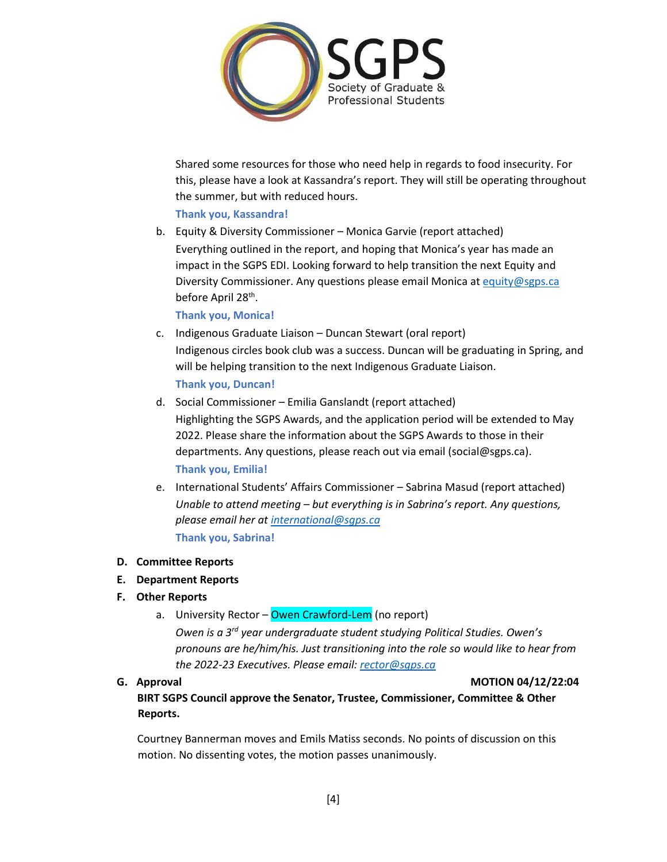

Shared some resources for those who need help in regards to food insecurity. For this, please have a look at Kassandra's report. They will still be operating throughout the summer, but with reduced hours.

## **Thank you, Kassandra!**

b. Equity & Diversity Commissioner – Monica Garvie (report attached) Everything outlined in the report, and hoping that Monica's year has made an impact in the SGPS EDI. Looking forward to help transition the next Equity and Diversity Commissioner. Any questions please email Monica at [equity@sgps.ca](mailto:equity@sgps.ca) before April 28<sup>th</sup>.

**Thank you, Monica!**

c. Indigenous Graduate Liaison – Duncan Stewart (oral report) Indigenous circles book club was a success. Duncan will be graduating in Spring, and will be helping transition to the next Indigenous Graduate Liaison.

**Thank you, Duncan!**

- d. Social Commissioner Emilia Ganslandt (report attached) Highlighting the SGPS Awards, and the application period will be extended to May 2022. Please share the information about the SGPS Awards to those in their departments. Any questions, please reach out via email (social@sgps.ca). **Thank you, Emilia!**
- e. International Students' Affairs Commissioner Sabrina Masud (report attached) *Unable to attend meeting – but everything is in Sabrina's report. Any questions, please email her a[t international@sgps.ca](mailto:international@sgps.ca)* **Thank you, Sabrina!**

## **D. Committee Reports**

## **E. Department Reports**

## **F. Other Reports**

a. University Rector – Owen Crawford-Lem (no report)

*Owen is a 3rd year undergraduate student studying Political Studies. Owen's pronouns are he/him/his. Just transitioning into the role so would like to hear from the 2022-23 Executives. Please email[: rector@sgps.ca](mailto:rector@sgps.ca)*

## **G. Approval MOTION 04/12/22:04**

**BIRT SGPS Council approve the Senator, Trustee, Commissioner, Committee & Other Reports.**

Courtney Bannerman moves and Emils Matiss seconds. No points of discussion on this motion. No dissenting votes, the motion passes unanimously.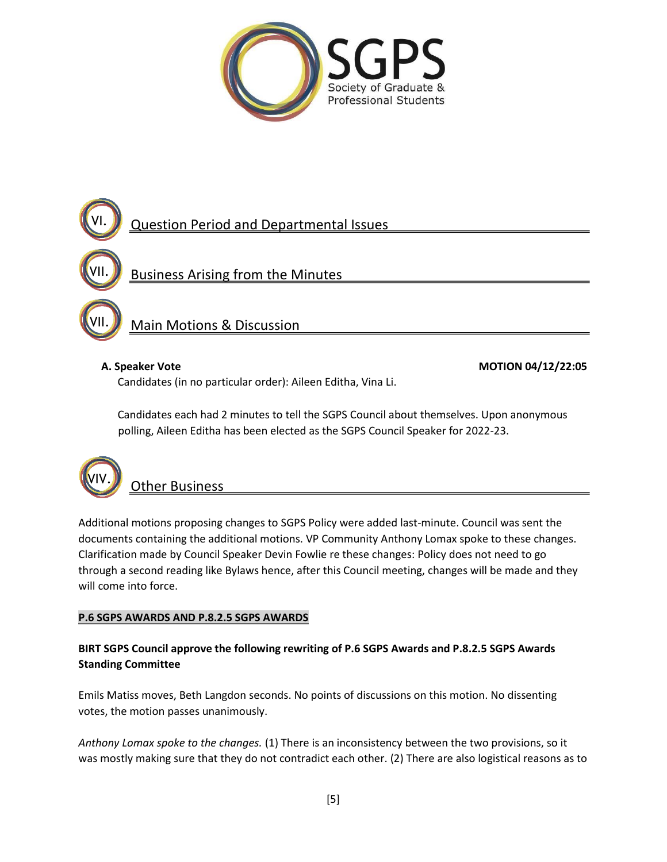



Main Motions & Discussion

Candidates (in no particular order): Aileen Editha, Vina Li.

A. Speaker Vote **MOTION 04/12/22:05** 

Candidates each had 2 minutes to tell the SGPS Council about themselves. Upon anonymous polling, Aileen Editha has been elected as the SGPS Council Speaker for 2022-23.



VII.

## **Other Business**

Additional motions proposing changes to SGPS Policy were added last-minute. Council was sent the documents containing the additional motions. VP Community Anthony Lomax spoke to these changes. Clarification made by Council Speaker Devin Fowlie re these changes: Policy does not need to go through a second reading like Bylaws hence, after this Council meeting, changes will be made and they will come into force.

## **P.6 SGPS AWARDS AND P.8.2.5 SGPS AWARDS**

## **BIRT SGPS Council approve the following rewriting of P.6 SGPS Awards and P.8.2.5 SGPS Awards Standing Committee**

Emils Matiss moves, Beth Langdon seconds. No points of discussions on this motion. No dissenting votes, the motion passes unanimously.

*Anthony Lomax spoke to the changes.* (1) There is an inconsistency between the two provisions, so it was mostly making sure that they do not contradict each other. (2) There are also logistical reasons as to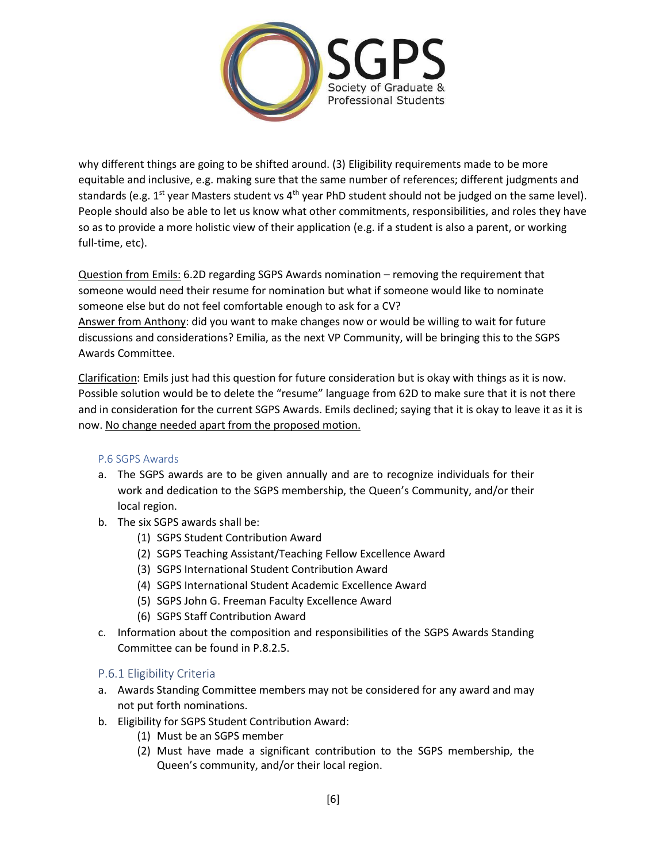

why different things are going to be shifted around. (3) Eligibility requirements made to be more equitable and inclusive, e.g. making sure that the same number of references; different judgments and standards (e.g.  $1^{st}$  year Masters student vs  $4^{th}$  year PhD student should not be judged on the same level). People should also be able to let us know what other commitments, responsibilities, and roles they have so as to provide a more holistic view of their application (e.g. if a student is also a parent, or working full-time, etc).

Question from Emils: 6.2D regarding SGPS Awards nomination – removing the requirement that someone would need their resume for nomination but what if someone would like to nominate someone else but do not feel comfortable enough to ask for a CV? Answer from Anthony: did you want to make changes now or would be willing to wait for future discussions and considerations? Emilia, as the next VP Community, will be bringing this to the SGPS Awards Committee.

Clarification: Emils just had this question for future consideration but is okay with things as it is now. Possible solution would be to delete the "resume" language from 62D to make sure that it is not there and in consideration for the current SGPS Awards. Emils declined; saying that it is okay to leave it as it is now. No change needed apart from the proposed motion.

## P.6 SGPS Awards

- a. The SGPS awards are to be given annually and are to recognize individuals for their work and dedication to the SGPS membership, the Queen's Community, and/or their local region.
- b. The six SGPS awards shall be:
	- (1) SGPS Student Contribution Award
	- (2) SGPS Teaching Assistant/Teaching Fellow Excellence Award
	- (3) SGPS International Student Contribution Award
	- (4) SGPS International Student Academic Excellence Award
	- (5) SGPS John G. Freeman Faculty Excellence Award
	- (6) SGPS Staff Contribution Award
- c. Information about the composition and responsibilities of the SGPS Awards Standing Committee can be found in P.8.2.5.

## P.6.1 Eligibility Criteria

- a. Awards Standing Committee members may not be considered for any award and may not put forth nominations.
- b. Eligibility for SGPS Student Contribution Award:
	- (1) Must be an SGPS member
	- (2) Must have made a significant contribution to the SGPS membership, the Queen's community, and/or their local region.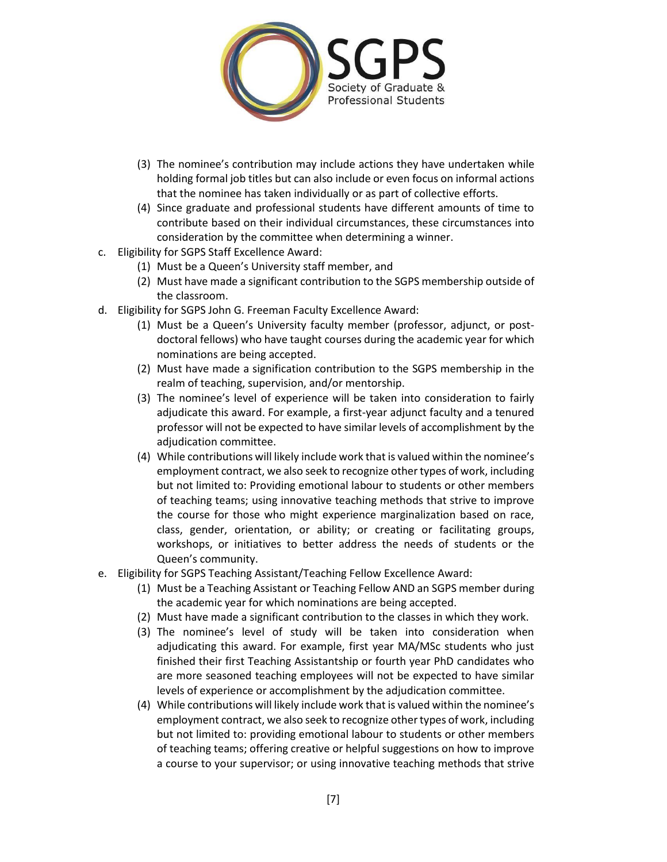

- (3) The nominee's contribution may include actions they have undertaken while holding formal job titles but can also include or even focus on informal actions that the nominee has taken individually or as part of collective efforts.
- (4) Since graduate and professional students have different amounts of time to contribute based on their individual circumstances, these circumstances into consideration by the committee when determining a winner.
- c. Eligibility for SGPS Staff Excellence Award:
	- (1) Must be a Queen's University staff member, and
	- (2) Must have made a significant contribution to the SGPS membership outside of the classroom.
- d. Eligibility for SGPS John G. Freeman Faculty Excellence Award:
	- (1) Must be a Queen's University faculty member (professor, adjunct, or postdoctoral fellows) who have taught courses during the academic year for which nominations are being accepted.
	- (2) Must have made a signification contribution to the SGPS membership in the realm of teaching, supervision, and/or mentorship.
	- (3) The nominee's level of experience will be taken into consideration to fairly adjudicate this award. For example, a first-year adjunct faculty and a tenured professor will not be expected to have similar levels of accomplishment by the adjudication committee.
	- (4) While contributions will likely include work that is valued within the nominee's employment contract, we also seek to recognize other types of work, including but not limited to: Providing emotional labour to students or other members of teaching teams; using innovative teaching methods that strive to improve the course for those who might experience marginalization based on race, class, gender, orientation, or ability; or creating or facilitating groups, workshops, or initiatives to better address the needs of students or the Queen's community.
- e. Eligibility for SGPS Teaching Assistant/Teaching Fellow Excellence Award:
	- (1) Must be a Teaching Assistant or Teaching Fellow AND an SGPS member during the academic year for which nominations are being accepted.
	- (2) Must have made a significant contribution to the classes in which they work.
	- (3) The nominee's level of study will be taken into consideration when adjudicating this award. For example, first year MA/MSc students who just finished their first Teaching Assistantship or fourth year PhD candidates who are more seasoned teaching employees will not be expected to have similar levels of experience or accomplishment by the adjudication committee.
	- (4) While contributions will likely include work that is valued within the nominee's employment contract, we also seek to recognize other types of work, including but not limited to: providing emotional labour to students or other members of teaching teams; offering creative or helpful suggestions on how to improve a course to your supervisor; or using innovative teaching methods that strive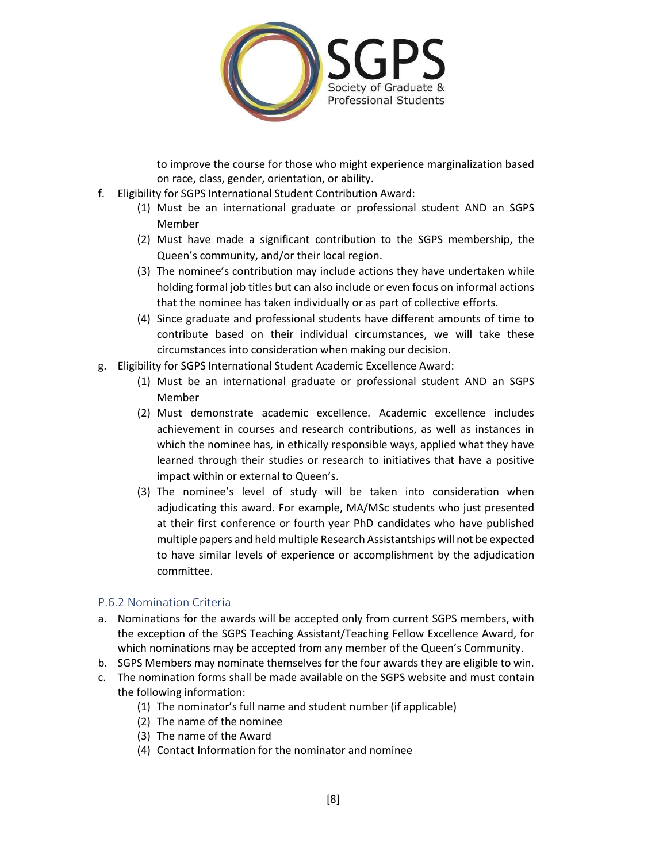

to improve the course for those who might experience marginalization based on race, class, gender, orientation, or ability.

- f. Eligibility for SGPS International Student Contribution Award:
	- (1) Must be an international graduate or professional student AND an SGPS Member
	- (2) Must have made a significant contribution to the SGPS membership, the Queen's community, and/or their local region.
	- (3) The nominee's contribution may include actions they have undertaken while holding formal job titles but can also include or even focus on informal actions that the nominee has taken individually or as part of collective efforts.
	- (4) Since graduate and professional students have different amounts of time to contribute based on their individual circumstances, we will take these circumstances into consideration when making our decision.
- g. Eligibility for SGPS International Student Academic Excellence Award:
	- (1) Must be an international graduate or professional student AND an SGPS Member
	- (2) Must demonstrate academic excellence. Academic excellence includes achievement in courses and research contributions, as well as instances in which the nominee has, in ethically responsible ways, applied what they have learned through their studies or research to initiatives that have a positive impact within or external to Queen's.
	- (3) The nominee's level of study will be taken into consideration when adjudicating this award. For example, MA/MSc students who just presented at their first conference or fourth year PhD candidates who have published multiple papers and held multiple Research Assistantships will not be expected to have similar levels of experience or accomplishment by the adjudication committee.

## P.6.2 Nomination Criteria

- a. Nominations for the awards will be accepted only from current SGPS members, with the exception of the SGPS Teaching Assistant/Teaching Fellow Excellence Award, for which nominations may be accepted from any member of the Queen's Community.
- b. SGPS Members may nominate themselves for the four awards they are eligible to win.
- c. The nomination forms shall be made available on the SGPS website and must contain the following information:
	- (1) The nominator's full name and student number (if applicable)
	- (2) The name of the nominee
	- (3) The name of the Award
	- (4) Contact Information for the nominator and nominee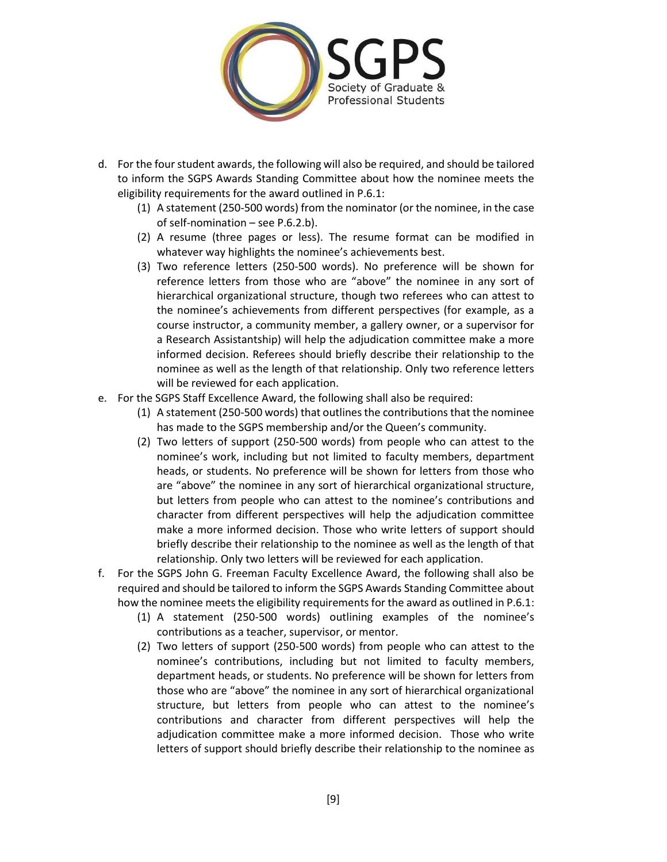

- d. For the four student awards, the following will also be required, and should be tailored to inform the SGPS Awards Standing Committee about how the nominee meets the eligibility requirements for the award outlined in P.6.1:
	- (1) A statement (250-500 words) from the nominator (or the nominee, in the case of self-nomination – see P.6.2.b).
	- (2) A resume (three pages or less). The resume format can be modified in whatever way highlights the nominee's achievements best.
	- (3) Two reference letters (250-500 words). No preference will be shown for reference letters from those who are "above" the nominee in any sort of hierarchical organizational structure, though two referees who can attest to the nominee's achievements from different perspectives (for example, as a course instructor, a community member, a gallery owner, or a supervisor for a Research Assistantship) will help the adjudication committee make a more informed decision. Referees should briefly describe their relationship to the nominee as well as the length of that relationship. Only two reference letters will be reviewed for each application.
- e. For the SGPS Staff Excellence Award, the following shall also be required:
	- (1) A statement (250-500 words) that outlines the contributions that the nominee has made to the SGPS membership and/or the Queen's community.
	- (2) Two letters of support (250-500 words) from people who can attest to the nominee's work, including but not limited to faculty members, department heads, or students. No preference will be shown for letters from those who are "above" the nominee in any sort of hierarchical organizational structure, but letters from people who can attest to the nominee's contributions and character from different perspectives will help the adjudication committee make a more informed decision. Those who write letters of support should briefly describe their relationship to the nominee as well as the length of that relationship. Only two letters will be reviewed for each application.
- f. For the SGPS John G. Freeman Faculty Excellence Award, the following shall also be required and should be tailored to inform the SGPS Awards Standing Committee about how the nominee meets the eligibility requirements for the award as outlined in P.6.1:
	- (1) A statement (250-500 words) outlining examples of the nominee's contributions as a teacher, supervisor, or mentor.
	- (2) Two letters of support (250-500 words) from people who can attest to the nominee's contributions, including but not limited to faculty members, department heads, or students. No preference will be shown for letters from those who are "above" the nominee in any sort of hierarchical organizational structure, but letters from people who can attest to the nominee's contributions and character from different perspectives will help the adjudication committee make a more informed decision. Those who write letters of support should briefly describe their relationship to the nominee as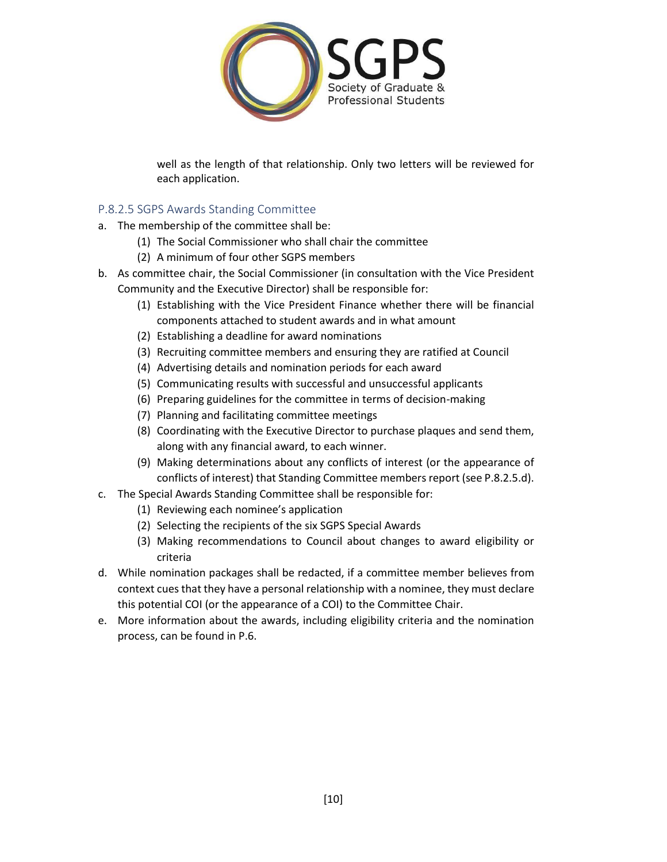

well as the length of that relationship. Only two letters will be reviewed for each application.

## P.8.2.5 SGPS Awards Standing Committee

- a. The membership of the committee shall be:
	- (1) The Social Commissioner who shall chair the committee
	- (2) A minimum of four other SGPS members
- b. As committee chair, the Social Commissioner (in consultation with the Vice President Community and the Executive Director) shall be responsible for:
	- (1) Establishing with the Vice President Finance whether there will be financial components attached to student awards and in what amount
	- (2) Establishing a deadline for award nominations
	- (3) Recruiting committee members and ensuring they are ratified at Council
	- (4) Advertising details and nomination periods for each award
	- (5) Communicating results with successful and unsuccessful applicants
	- (6) Preparing guidelines for the committee in terms of decision-making
	- (7) Planning and facilitating committee meetings
	- (8) Coordinating with the Executive Director to purchase plaques and send them, along with any financial award, to each winner.
	- (9) Making determinations about any conflicts of interest (or the appearance of conflicts of interest) that Standing Committee members report (see P.8.2.5.d).
- c. The Special Awards Standing Committee shall be responsible for:
	- (1) Reviewing each nominee's application
	- (2) Selecting the recipients of the six SGPS Special Awards
	- (3) Making recommendations to Council about changes to award eligibility or criteria
- d. While nomination packages shall be redacted, if a committee member believes from context cues that they have a personal relationship with a nominee, they must declare this potential COI (or the appearance of a COI) to the Committee Chair.
- e. More information about the awards, including eligibility criteria and the nomination process, can be found in P.6.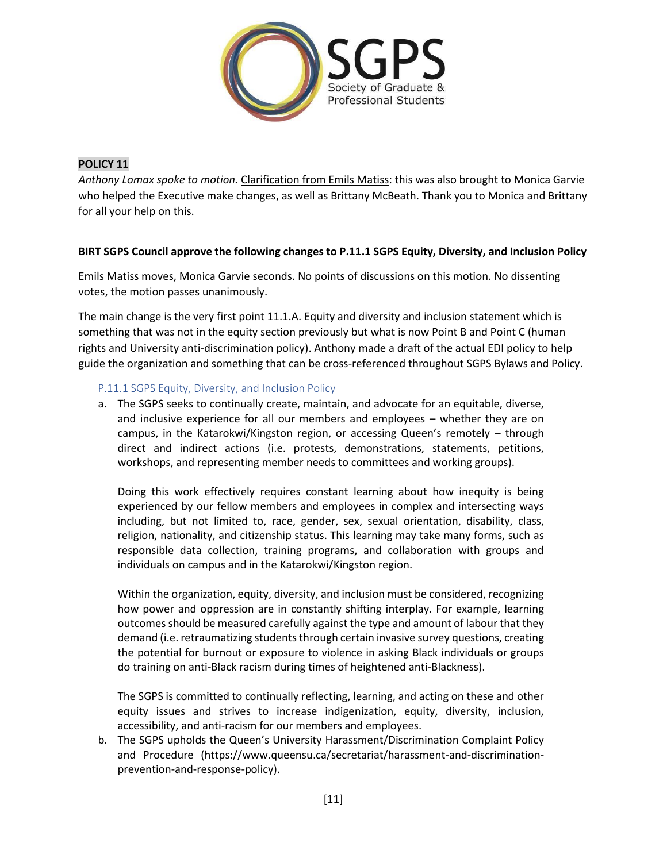

## **POLICY 11**

*Anthony Lomax spoke to motion.* Clarification from Emils Matiss: this was also brought to Monica Garvie who helped the Executive make changes, as well as Brittany McBeath. Thank you to Monica and Brittany for all your help on this.

## **BIRT SGPS Council approve the following changes to P.11.1 SGPS Equity, Diversity, and Inclusion Policy**

Emils Matiss moves, Monica Garvie seconds. No points of discussions on this motion. No dissenting votes, the motion passes unanimously.

The main change is the very first point 11.1.A. Equity and diversity and inclusion statement which is something that was not in the equity section previously but what is now Point B and Point C (human rights and University anti-discrimination policy). Anthony made a draft of the actual EDI policy to help guide the organization and something that can be cross-referenced throughout SGPS Bylaws and Policy.

## P.11.1 SGPS Equity, Diversity, and Inclusion Policy

a. The SGPS seeks to continually create, maintain, and advocate for an equitable, diverse, and inclusive experience for all our members and employees – whether they are on campus, in the Katarokwi/Kingston region, or accessing Queen's remotely – through direct and indirect actions (i.e. protests, demonstrations, statements, petitions, workshops, and representing member needs to committees and working groups).

Doing this work effectively requires constant learning about how inequity is being experienced by our fellow members and employees in complex and intersecting ways including, but not limited to, race, gender, sex, sexual orientation, disability, class, religion, nationality, and citizenship status. This learning may take many forms, such as responsible data collection, training programs, and collaboration with groups and individuals on campus and in the Katarokwi/Kingston region.

Within the organization, equity, diversity, and inclusion must be considered, recognizing how power and oppression are in constantly shifting interplay. For example, learning outcomes should be measured carefully against the type and amount of labour that they demand (i.e. retraumatizing students through certain invasive survey questions, creating the potential for burnout or exposure to violence in asking Black individuals or groups do training on anti-Black racism during times of heightened anti-Blackness).

The SGPS is committed to continually reflecting, learning, and acting on these and other equity issues and strives to increase indigenization, equity, diversity, inclusion, accessibility, and anti-racism for our members and employees.

b. The SGPS upholds the Queen's University Harassment/Discrimination Complaint Policy and Procedure (https://www.queensu.ca/secretariat/harassment-and-discriminationprevention-and-response-policy).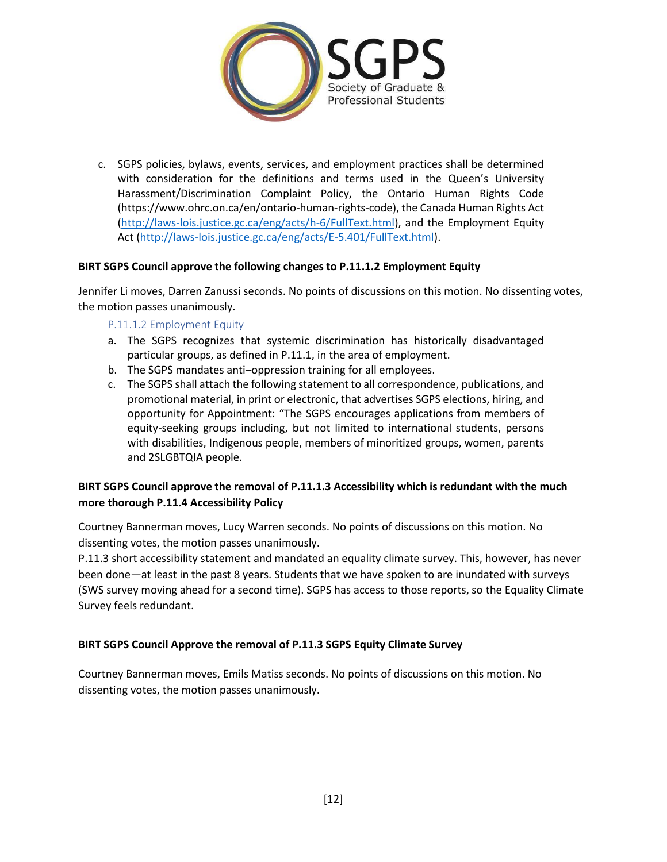

c. SGPS policies, bylaws, events, services, and employment practices shall be determined with consideration for the definitions and terms used in the Queen's University Harassment/Discrimination Complaint Policy, the Ontario Human Rights Code (https://www.ohrc.on.ca/en/ontario-human-rights-code), the Canada Human Rights Act [\(http://laws-lois.justice.gc.ca/eng/acts/h-6/FullText.html\)](http://laws-lois.justice.gc.ca/eng/acts/h-6/FullText.html), and the Employment Equity Act [\(http://laws-lois.justice.gc.ca/eng/acts/E-5.401/FullText.html\)](http://laws-lois.justice.gc.ca/eng/acts/E-5.401/FullText.html).

## **BIRT SGPS Council approve the following changes to P.11.1.2 Employment Equity**

Jennifer Li moves, Darren Zanussi seconds. No points of discussions on this motion. No dissenting votes, the motion passes unanimously.

## P.11.1.2 Employment Equity

- a. The SGPS recognizes that systemic discrimination has historically disadvantaged particular groups, as defined in P.11.1, in the area of employment.
- b. The SGPS mandates anti–oppression training for all employees.
- c. The SGPS shall attach the following statement to all correspondence, publications, and promotional material, in print or electronic, that advertises SGPS elections, hiring, and opportunity for Appointment: "The SGPS encourages applications from members of equity-seeking groups including, but not limited to international students, persons with disabilities, Indigenous people, members of minoritized groups, women, parents and 2SLGBTQIA people.

## **BIRT SGPS Council approve the removal of P.11.1.3 Accessibility which is redundant with the much more thorough P.11.4 Accessibility Policy**

Courtney Bannerman moves, Lucy Warren seconds. No points of discussions on this motion. No dissenting votes, the motion passes unanimously.

P.11.3 short accessibility statement and mandated an equality climate survey. This, however, has never been done—at least in the past 8 years. Students that we have spoken to are inundated with surveys (SWS survey moving ahead for a second time). SGPS has access to those reports, so the Equality Climate Survey feels redundant.

## **BIRT SGPS Council Approve the removal of P.11.3 SGPS Equity Climate Survey**

Courtney Bannerman moves, Emils Matiss seconds. No points of discussions on this motion. No dissenting votes, the motion passes unanimously.